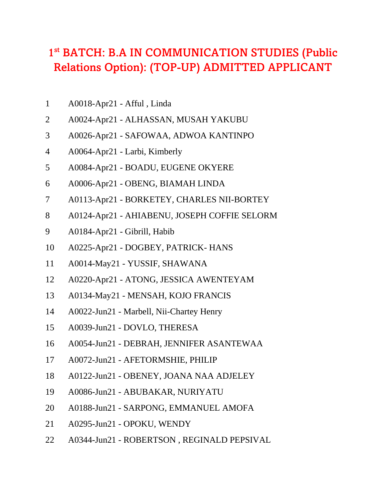## 1<sup>st</sup> BATCH: B.A IN COMMUNICATION STUDIES (Public Relations Option): (TOP-UP) ADMITTED APPLICANT

- A0018-Apr21 Afful , Linda
- A0024-Apr21 ALHASSAN, MUSAH YAKUBU
- A0026-Apr21 SAFOWAA, ADWOA KANTINPO
- A0064-Apr21 Larbi, Kimberly
- A0084-Apr21 BOADU, EUGENE OKYERE
- A0006-Apr21 OBENG, BIAMAH LINDA
- A0113-Apr21 BORKETEY, CHARLES NII-BORTEY
- A0124-Apr21 AHIABENU, JOSEPH COFFIE SELORM
- A0184-Apr21 Gibrill, Habib
- A0225-Apr21 DOGBEY, PATRICK- HANS
- A0014-May21 YUSSIF, SHAWANA
- A0220-Apr21 ATONG, JESSICA AWENTEYAM
- A0134-May21 MENSAH, KOJO FRANCIS
- A0022-Jun21 Marbell, Nii-Chartey Henry
- A0039-Jun21 DOVLO, THERESA
- A0054-Jun21 DEBRAH, JENNIFER ASANTEWAA
- A0072-Jun21 AFETORMSHIE, PHILIP
- A0122-Jun21 OBENEY, JOANA NAA ADJELEY
- A0086-Jun21 ABUBAKAR, NURIYATU
- A0188-Jun21 SARPONG, EMMANUEL AMOFA
- A0295-Jun21 OPOKU, WENDY
- A0344-Jun21 ROBERTSON , REGINALD PEPSIVAL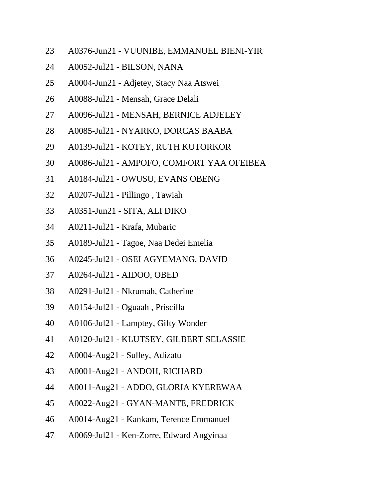- A0376-Jun21 VUUNIBE, EMMANUEL BIENI-YIR
- A0052-Jul21 BILSON, NANA
- A0004-Jun21 Adjetey, Stacy Naa Atswei
- A0088-Jul21 Mensah, Grace Delali
- A0096-Jul21 MENSAH, BERNICE ADJELEY
- A0085-Jul21 NYARKO, DORCAS BAABA
- A0139-Jul21 KOTEY, RUTH KUTORKOR
- A0086-Jul21 AMPOFO, COMFORT YAA OFEIBEA
- A0184-Jul21 OWUSU, EVANS OBENG
- A0207-Jul21 Pillingo , Tawiah
- A0351-Jun21 SITA, ALI DIKO
- A0211-Jul21 Krafa, Mubaric
- A0189-Jul21 Tagoe, Naa Dedei Emelia
- A0245-Jul21 OSEI AGYEMANG, DAVID
- A0264-Jul21 AIDOO, OBED
- A0291-Jul21 Nkrumah, Catherine
- A0154-Jul21 Oguaah , Priscilla
- A0106-Jul21 Lamptey, Gifty Wonder
- A0120-Jul21 KLUTSEY, GILBERT SELASSIE
- A0004-Aug21 Sulley, Adizatu
- A0001-Aug21 ANDOH, RICHARD
- A0011-Aug21 ADDO, GLORIA KYEREWAA
- A0022-Aug21 GYAN-MANTE, FREDRICK
- A0014-Aug21 Kankam, Terence Emmanuel
- A0069-Jul21 Ken-Zorre, Edward Angyinaa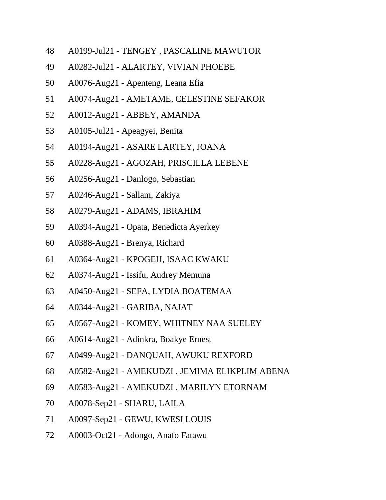- A0199-Jul21 TENGEY , PASCALINE MAWUTOR
- A0282-Jul21 ALARTEY, VIVIAN PHOEBE
- A0076-Aug21 Apenteng, Leana Efia
- A0074-Aug21 AMETAME, CELESTINE SEFAKOR
- A0012-Aug21 ABBEY, AMANDA
- A0105-Jul21 Apeagyei, Benita
- A0194-Aug21 ASARE LARTEY, JOANA
- A0228-Aug21 AGOZAH, PRISCILLA LEBENE
- A0256-Aug21 Danlogo, Sebastian
- A0246-Aug21 Sallam, Zakiya
- A0279-Aug21 ADAMS, IBRAHIM
- A0394-Aug21 Opata, Benedicta Ayerkey
- A0388-Aug21 Brenya, Richard
- A0364-Aug21 KPOGEH, ISAAC KWAKU
- A0374-Aug21 Issifu, Audrey Memuna
- A0450-Aug21 SEFA, LYDIA BOATEMAA
- A0344-Aug21 GARIBA, NAJAT
- A0567-Aug21 KOMEY, WHITNEY NAA SUELEY
- A0614-Aug21 Adinkra, Boakye Ernest
- A0499-Aug21 DANQUAH, AWUKU REXFORD
- A0582-Aug21 AMEKUDZI , JEMIMA ELIKPLIM ABENA
- A0583-Aug21 AMEKUDZI , MARILYN ETORNAM
- A0078-Sep21 SHARU, LAILA
- A0097-Sep21 GEWU, KWESI LOUIS
- A0003-Oct21 Adongo, Anafo Fatawu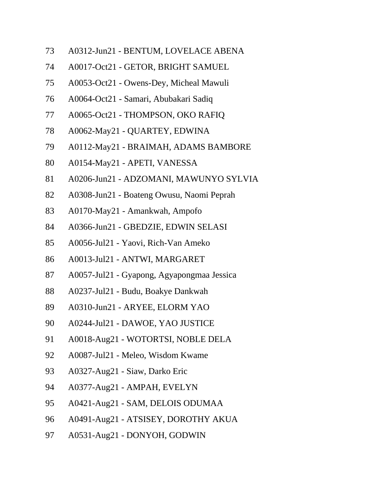- A0312-Jun21 BENTUM, LOVELACE ABENA
- A0017-Oct21 GETOR, BRIGHT SAMUEL
- A0053-Oct21 Owens-Dey, Micheal Mawuli
- A0064-Oct21 Samari, Abubakari Sadiq
- A0065-Oct21 THOMPSON, OKO RAFIQ
- A0062-May21 QUARTEY, EDWINA
- A0112-May21 BRAIMAH, ADAMS BAMBORE
- A0154-May21 APETI, VANESSA
- A0206-Jun21 ADZOMANI, MAWUNYO SYLVIA
- A0308-Jun21 Boateng Owusu, Naomi Peprah
- A0170-May21 Amankwah, Ampofo
- A0366-Jun21 GBEDZIE, EDWIN SELASI
- A0056-Jul21 Yaovi, Rich-Van Ameko
- A0013-Jul21 ANTWI, MARGARET
- A0057-Jul21 Gyapong, Agyapongmaa Jessica
- A0237-Jul21 Budu, Boakye Dankwah
- A0310-Jun21 ARYEE, ELORM YAO
- A0244-Jul21 DAWOE, YAO JUSTICE
- A0018-Aug21 WOTORTSI, NOBLE DELA
- A0087-Jul21 Meleo, Wisdom Kwame
- A0327-Aug21 Siaw, Darko Eric
- A0377-Aug21 AMPAH, EVELYN
- A0421-Aug21 SAM, DELOIS ODUMAA
- A0491-Aug21 ATSISEY, DOROTHY AKUA
- A0531-Aug21 DONYOH, GODWIN